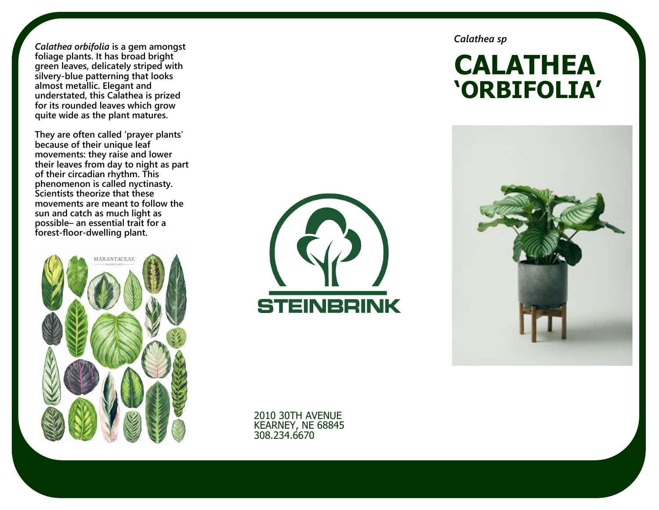*Calathea orbifolia* **is a gem amongst foliage plants. It has broad bright green leaves, delicately striped with silvery-blue patterning that looks almost metallic. Elegant and understated, this Calathea is prized for its rounded leaves which grow quite wide as the plant matures.**

**They are often called 'prayer plants' because of their unique leaf movements: they raise and lower their leaves from day to night as part of their circadian rhythm. This phenomenon is called nyctinasty. Scientists theorize that these movements are meant to follow the sun and catch as much light as possible– an essential trait for a forest-floor-dwelling plant.** 





*Calathea sp*

# **CALATHEA 'ORBIFOLIA'**



2010 30TH AVENUE KEARNEY, NE 68845 308.234.6670